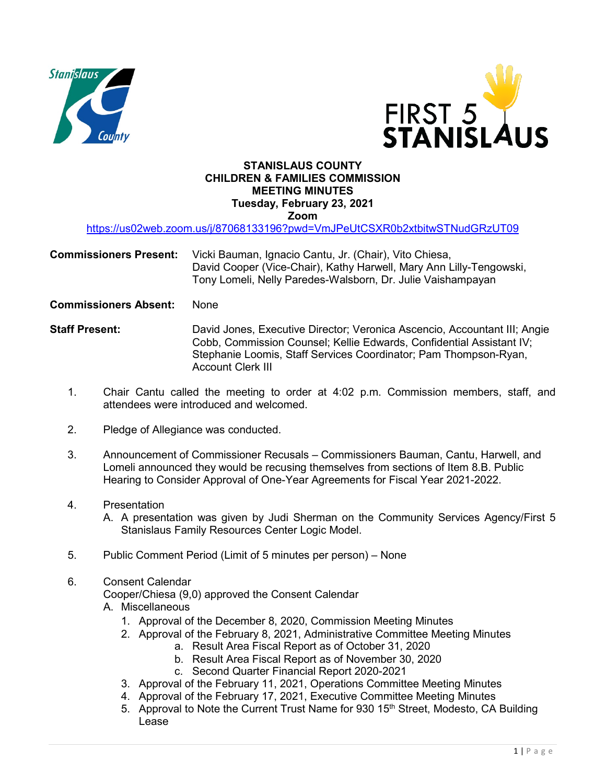



# **STANISLAUS COUNTY CHILDREN & FAMILIES COMMISSION MEETING MINUTES Tuesday, February 23, 2021**

**Zoom** 

<https://us02web.zoom.us/j/87068133196?pwd=VmJPeUtCSXR0b2xtbitwSTNudGRzUT09>

**Commissioners Present:** Vicki Bauman, Ignacio Cantu, Jr. (Chair), Vito Chiesa, David Cooper (Vice-Chair), Kathy Harwell, Mary Ann Lilly-Tengowski, Tony Lomeli, Nelly Paredes-Walsborn, Dr. Julie Vaishampayan

**Commissioners Absent:** None

**Staff Present:** David Jones, Executive Director; Veronica Ascencio, Accountant III; Angie Cobb, Commission Counsel; Kellie Edwards, Confidential Assistant IV; Stephanie Loomis, Staff Services Coordinator; Pam Thompson-Ryan, Account Clerk III

- 1. Chair Cantu called the meeting to order at 4:02 p.m. Commission members, staff, and attendees were introduced and welcomed.
- 2. Pledge of Allegiance was conducted.
- 3. Announcement of Commissioner Recusals Commissioners Bauman, Cantu, Harwell, and Lomeli announced they would be recusing themselves from sections of Item 8.B. Public Hearing to Consider Approval of One-Year Agreements for Fiscal Year 2021-2022.
- 4. Presentation

A. A presentation was given by Judi Sherman on the Community Services Agency/First 5 Stanislaus Family Resources Center Logic Model.

- 5. Public Comment Period (Limit of 5 minutes per person) None
- 6. Consent Calendar

Cooper/Chiesa (9,0) approved the Consent Calendar

- A. Miscellaneous
	- 1. Approval of the December 8, 2020, Commission Meeting Minutes
	- 2. Approval of the February 8, 2021, Administrative Committee Meeting Minutes a. Result Area Fiscal Report as of October 31, 2020
		- b. Result Area Fiscal Report as of November 30, 2020
		- c. Second Quarter Financial Report 2020-2021
	- 3. Approval of the February 11, 2021, Operations Committee Meeting Minutes
	- 4. Approval of the February 17, 2021, Executive Committee Meeting Minutes
	- 5. Approval to Note the Current Trust Name for 930 15<sup>th</sup> Street, Modesto, CA Building Lease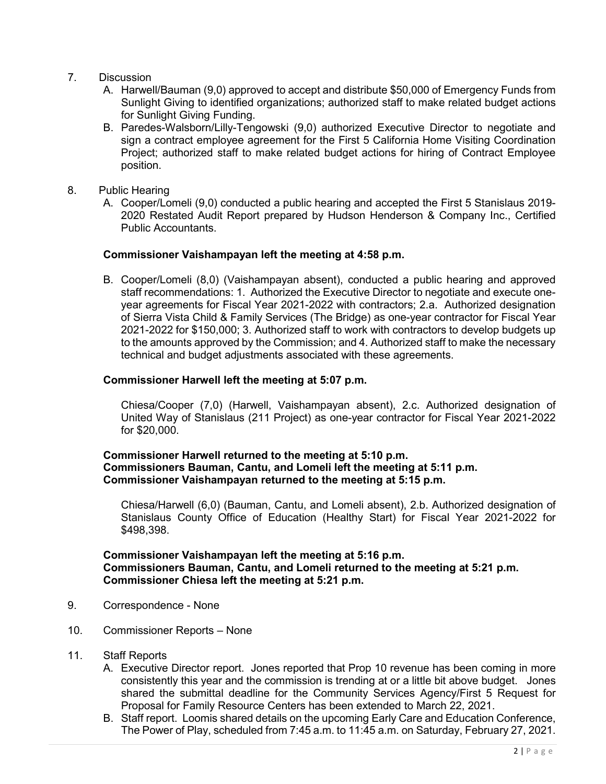- 7. Discussion
	- A. Harwell/Bauman (9,0) approved to accept and distribute \$50,000 of Emergency Funds from Sunlight Giving to identified organizations; authorized staff to make related budget actions for Sunlight Giving Funding.
	- B. Paredes-Walsborn/Lilly-Tengowski (9,0) authorized Executive Director to negotiate and sign a contract employee agreement for the First 5 California Home Visiting Coordination Project; authorized staff to make related budget actions for hiring of Contract Employee position.
- 8. Public Hearing
	- A. Cooper/Lomeli (9,0) conducted a public hearing and accepted the First 5 Stanislaus 2019- 2020 Restated Audit Report prepared by Hudson Henderson & Company Inc., Certified Public Accountants.

#### **Commissioner Vaishampayan left the meeting at 4:58 p.m.**

B. Cooper/Lomeli (8,0) (Vaishampayan absent), conducted a public hearing and approved staff recommendations: 1. Authorized the Executive Director to negotiate and execute oneyear agreements for Fiscal Year 2021-2022 with contractors; 2.a. Authorized designation of Sierra Vista Child & Family Services (The Bridge) as one-year contractor for Fiscal Year 2021-2022 for \$150,000; 3. Authorized staff to work with contractors to develop budgets up to the amounts approved by the Commission; and 4. Authorized staff to make the necessary technical and budget adjustments associated with these agreements.

#### **Commissioner Harwell left the meeting at 5:07 p.m.**

Chiesa/Cooper (7,0) (Harwell, Vaishampayan absent), 2.c. Authorized designation of United Way of Stanislaus (211 Project) as one-year contractor for Fiscal Year 2021-2022 for \$20,000.

### **Commissioner Harwell returned to the meeting at 5:10 p.m. Commissioners Bauman, Cantu, and Lomeli left the meeting at 5:11 p.m. Commissioner Vaishampayan returned to the meeting at 5:15 p.m.**

 Chiesa/Harwell (6,0) (Bauman, Cantu, and Lomeli absent), 2.b. Authorized designation of Stanislaus County Office of Education (Healthy Start) for Fiscal Year 2021-2022 for \$498,398.

## **Commissioner Vaishampayan left the meeting at 5:16 p.m. Commissioners Bauman, Cantu, and Lomeli returned to the meeting at 5:21 p.m. Commissioner Chiesa left the meeting at 5:21 p.m.**

- 9. Correspondence None
- 10. Commissioner Reports None
- 11. Staff Reports
	- A. Executive Director report. Jones reported that Prop 10 revenue has been coming in more consistently this year and the commission is trending at or a little bit above budget. Jones shared the submittal deadline for the Community Services Agency/First 5 Request for Proposal for Family Resource Centers has been extended to March 22, 2021.
	- B. Staff report. Loomis shared details on the upcoming Early Care and Education Conference, The Power of Play, scheduled from 7:45 a.m. to 11:45 a.m. on Saturday, February 27, 2021.